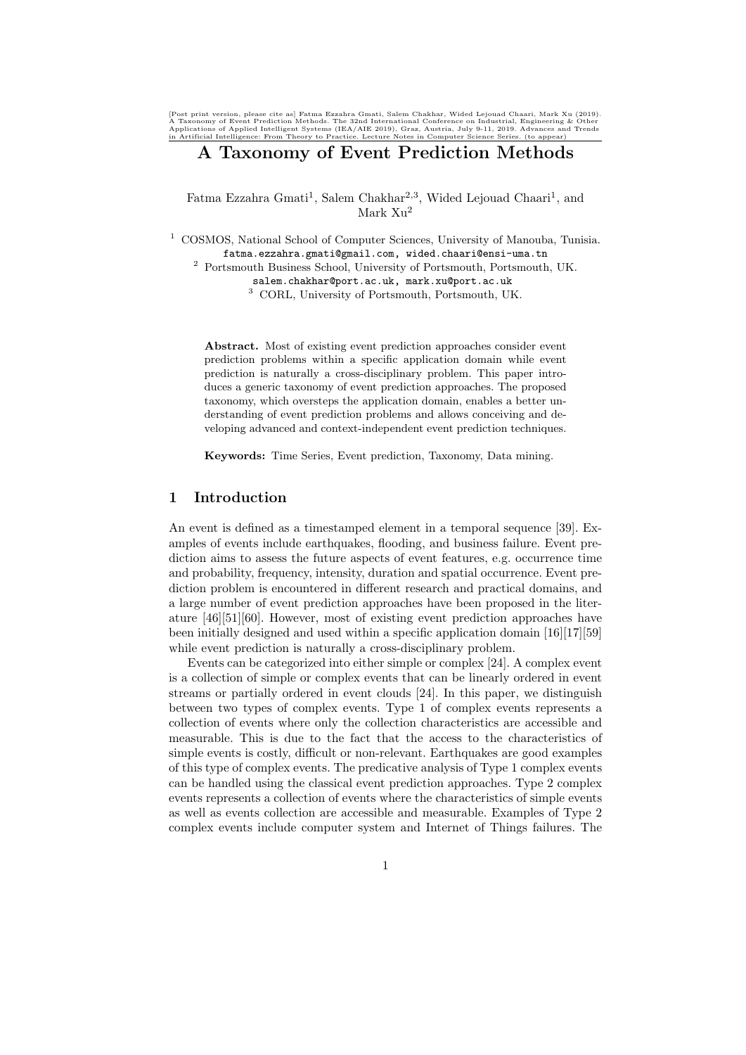# **A Taxonomy of Event Prediction Methods**

Fatma Ezzahra Gmati<sup>1</sup>, Salem Chakhar<sup>2,3</sup>, Wided Lejouad Chaari<sup>1</sup>, and Mark Xu<sup>2</sup>

<sup>1</sup> COSMOS, National School of Computer Sciences, University of Manouba, Tunisia. fatma.ezzahra.gmati@gmail.com, wided.chaari@ensi-uma.tn

<sup>2</sup> Portsmouth Business School, University of Portsmouth, Portsmouth, UK.

salem.chakhar@port.ac.uk, mark.xu@port.ac.uk

<sup>3</sup> CORL, University of Portsmouth, Portsmouth, UK.

**Abstract.** Most of existing event prediction approaches consider event prediction problems within a specific application domain while event prediction is naturally a cross-disciplinary problem. This paper introduces a generic taxonomy of event prediction approaches. The proposed taxonomy, which oversteps the application domain, enables a better understanding of event prediction problems and allows conceiving and developing advanced and context-independent event prediction techniques.

**Keywords:** Time Series, Event prediction, Taxonomy, Data mining.

# **1 Introduction**

An event is defined as a timestamped element in a temporal sequence [39]. Examples of events include earthquakes, flooding, and business failure. Event prediction aims to assess the future aspects of event features, e.g. occurrence time and probability, frequency, intensity, duration and spatial occurrence. Event prediction problem is encountered in different research and practical domains, and a large number of event prediction approaches have been proposed in the literature [46][51][60]. However, most of existing event prediction approaches have been initially designed and used within a specific application domain [16][17][59] while event prediction is naturally a cross-disciplinary problem.

Events can be categorized into either simple or complex [24]. A complex event is a collection of simple or complex events that can be linearly ordered in event streams or partially ordered in event clouds [24]. In this paper, we distinguish between two types of complex events. Type 1 of complex events represents a collection of events where only the collection characteristics are accessible and measurable. This is due to the fact that the access to the characteristics of simple events is costly, difficult or non-relevant. Earthquakes are good examples of this type of complex events. The predicative analysis of Type 1 complex events can be handled using the classical event prediction approaches. Type 2 complex events represents a collection of events where the characteristics of simple events as well as events collection are accessible and measurable. Examples of Type 2 complex events include computer system and Internet of Things failures. The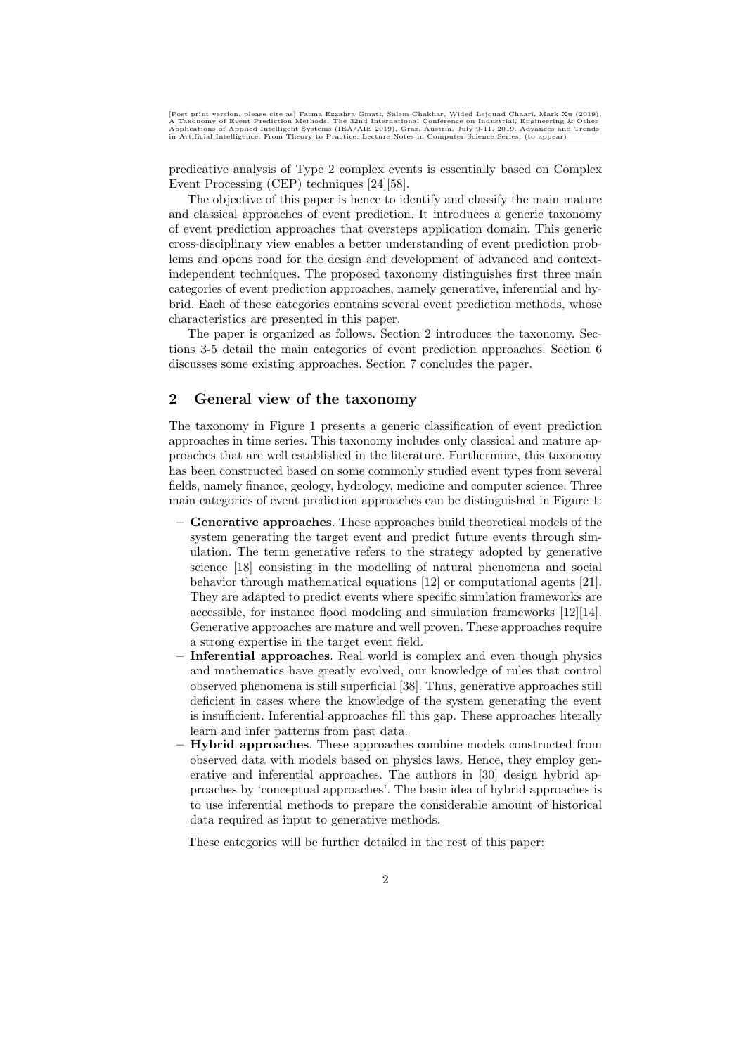predicative analysis of Type 2 complex events is essentially based on Complex Event Processing (CEP) techniques [24][58].

The objective of this paper is hence to identify and classify the main mature and classical approaches of event prediction. It introduces a generic taxonomy of event prediction approaches that oversteps application domain. This generic cross-disciplinary view enables a better understanding of event prediction problems and opens road for the design and development of advanced and contextindependent techniques. The proposed taxonomy distinguishes first three main categories of event prediction approaches, namely generative, inferential and hybrid. Each of these categories contains several event prediction methods, whose characteristics are presented in this paper.

The paper is organized as follows. Section 2 introduces the taxonomy. Sections 3-5 detail the main categories of event prediction approaches. Section 6 discusses some existing approaches. Section 7 concludes the paper.

# **2 General view of the taxonomy**

The taxonomy in Figure 1 presents a generic classification of event prediction approaches in time series. This taxonomy includes only classical and mature approaches that are well established in the literature. Furthermore, this taxonomy has been constructed based on some commonly studied event types from several fields, namely finance, geology, hydrology, medicine and computer science. Three main categories of event prediction approaches can be distinguished in Figure 1:

- **– Generative approaches**. These approaches build theoretical models of the system generating the target event and predict future events through simulation. The term generative refers to the strategy adopted by generative science [18] consisting in the modelling of natural phenomena and social behavior through mathematical equations [12] or computational agents [21]. They are adapted to predict events where specific simulation frameworks are accessible, for instance flood modeling and simulation frameworks [12][14]. Generative approaches are mature and well proven. These approaches require a strong expertise in the target event field.
- **– Inferential approaches**. Real world is complex and even though physics and mathematics have greatly evolved, our knowledge of rules that control observed phenomena is still superficial [38]. Thus, generative approaches still deficient in cases where the knowledge of the system generating the event is insufficient. Inferential approaches fill this gap. These approaches literally learn and infer patterns from past data.
- **– Hybrid approaches**. These approaches combine models constructed from observed data with models based on physics laws. Hence, they employ generative and inferential approaches. The authors in [30] design hybrid approaches by 'conceptual approaches'. The basic idea of hybrid approaches is to use inferential methods to prepare the considerable amount of historical data required as input to generative methods.

These categories will be further detailed in the rest of this paper: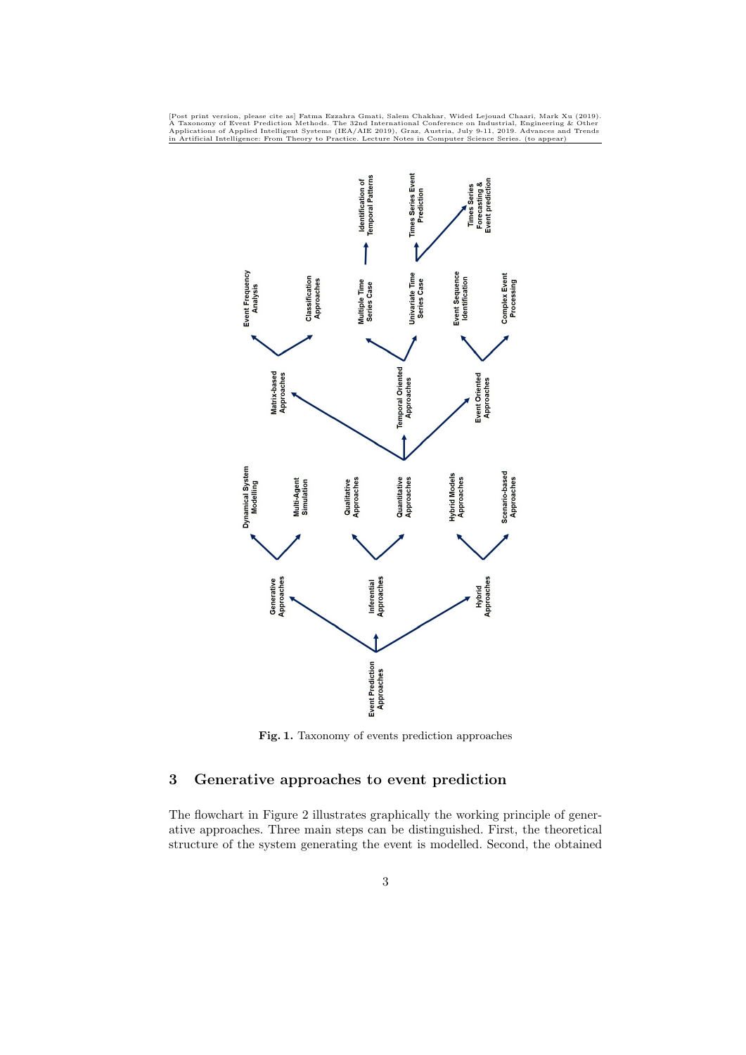

**Fig. 1.** Taxonomy of events prediction approaches

# **3 Generative approaches to event prediction**

The flowchart in Figure 2 illustrates graphically the working principle of generative approaches. Three main steps can be distinguished. First, the theoretical structure of the system generating the event is modelled. Second, the obtained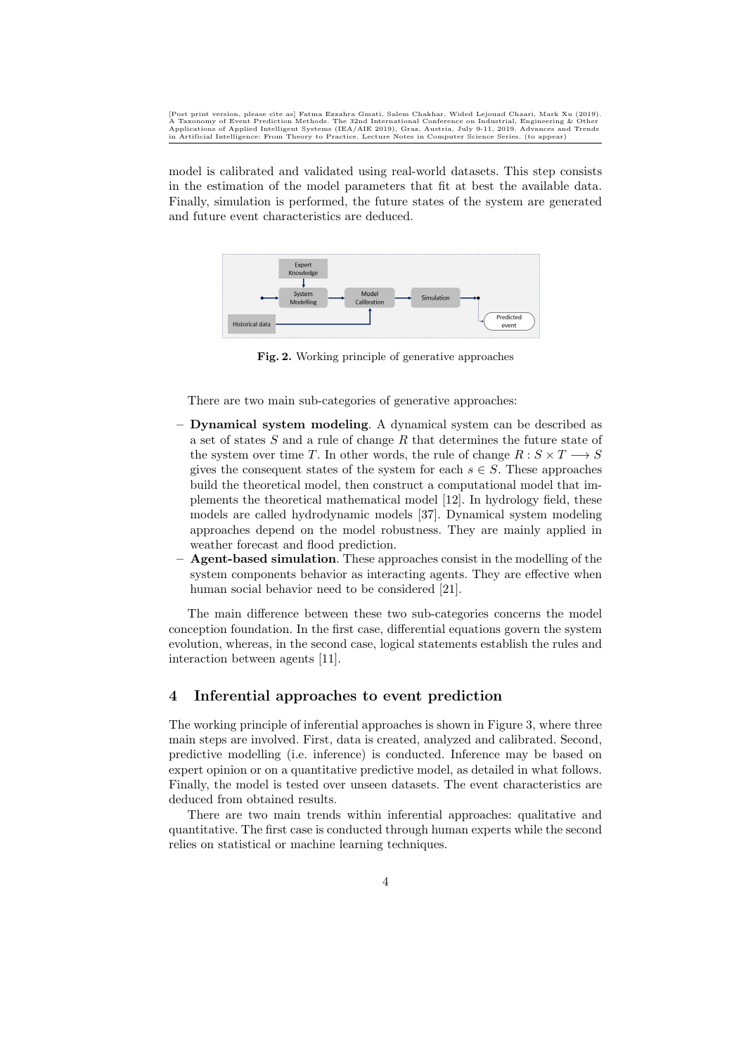model is calibrated and validated using real-world datasets. This step consists in the estimation of the model parameters that fit at best the available data. Finally, simulation is performed, the future states of the system are generated and future event characteristics are deduced.



**Fig. 2.** Working principle of generative approaches

There are two main sub-categories of generative approaches:

- **– Dynamical system modeling**. A dynamical system can be described as a set of states *S* and a rule of change *R* that determines the future state of the system over time *T*. In other words, the rule of change  $R: S \times T \longrightarrow S$ gives the consequent states of the system for each  $s \in S$ . These approaches build the theoretical model, then construct a computational model that implements the theoretical mathematical model [12]. In hydrology field, these models are called hydrodynamic models [37]. Dynamical system modeling approaches depend on the model robustness. They are mainly applied in weather forecast and flood prediction.
- **– Agent-based simulation**. These approaches consist in the modelling of the system components behavior as interacting agents. They are effective when human social behavior need to be considered [21].

The main difference between these two sub-categories concerns the model conception foundation. In the first case, differential equations govern the system evolution, whereas, in the second case, logical statements establish the rules and interaction between agents [11].

### **4 Inferential approaches to event prediction**

The working principle of inferential approaches is shown in Figure 3, where three main steps are involved. First, data is created, analyzed and calibrated. Second, predictive modelling (i.e. inference) is conducted. Inference may be based on expert opinion or on a quantitative predictive model, as detailed in what follows. Finally, the model is tested over unseen datasets. The event characteristics are deduced from obtained results.

There are two main trends within inferential approaches: qualitative and quantitative. The first case is conducted through human experts while the second relies on statistical or machine learning techniques.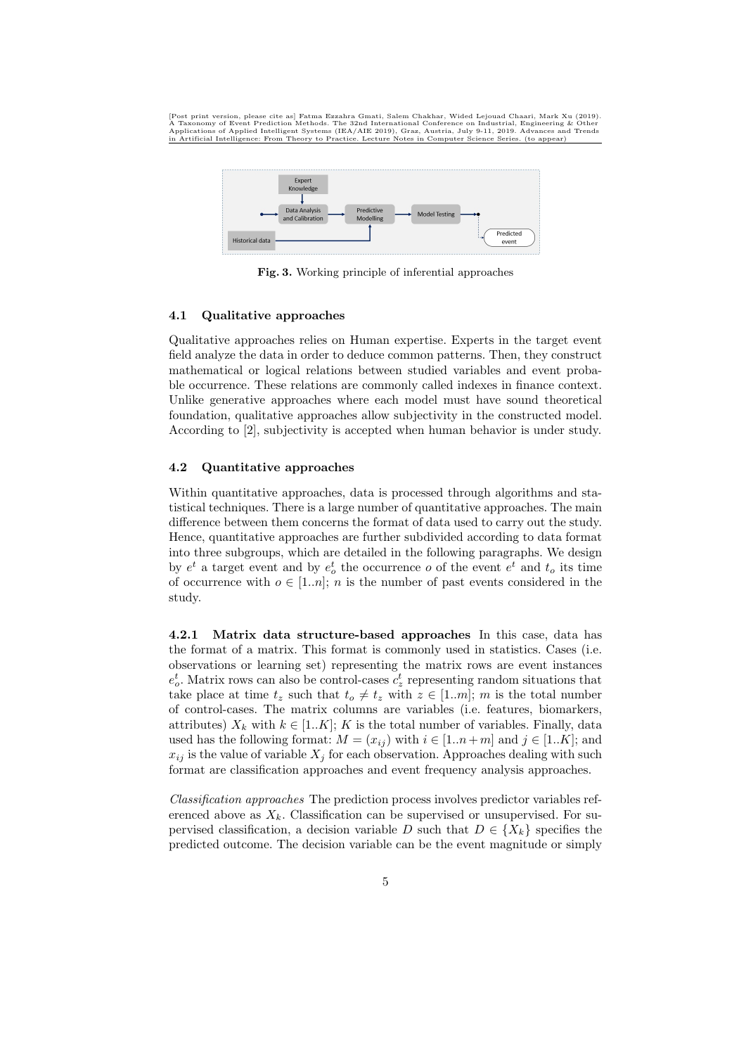



**Fig. 3.** Working principle of inferential approaches

#### **4.1 Qualitative approaches**

Qualitative approaches relies on Human expertise. Experts in the target event field analyze the data in order to deduce common patterns. Then, they construct mathematical or logical relations between studied variables and event probable occurrence. These relations are commonly called indexes in finance context. Unlike generative approaches where each model must have sound theoretical foundation, qualitative approaches allow subjectivity in the constructed model. According to [2], subjectivity is accepted when human behavior is under study.

#### **4.2 Quantitative approaches**

Within quantitative approaches, data is processed through algorithms and statistical techniques. There is a large number of quantitative approaches. The main difference between them concerns the format of data used to carry out the study. Hence, quantitative approaches are further subdivided according to data format into three subgroups, which are detailed in the following paragraphs. We design by  $e^t$  a target event and by  $e^t_o$  the occurrence *o* of the event  $e^t$  and  $t_o$  its time of occurrence with  $o \in [1..n]$ ; *n* is the number of past events considered in the study.

**4.2.1 Matrix data structure-based approaches** In this case, data has the format of a matrix. This format is commonly used in statistics. Cases (i.e. observations or learning set) representing the matrix rows are event instances  $e_o^t$ . Matrix rows can also be control-cases  $c_z^t$  representing random situations that take place at time  $t_z$  such that  $t_o \neq t_z$  with  $z \in [1..m]$ ; *m* is the total number of control-cases. The matrix columns are variables (i.e. features, biomarkers, attributes)  $X_k$  with  $k \in [1..K]$ ; *K* is the total number of variables. Finally, data used has the following format:  $M = (x_{ij})$  with  $i \in [1..n+m]$  and  $j \in [1..K]$ ; and  $x_{ij}$  is the value of variable  $X_j$  for each observation. Approaches dealing with such format are classification approaches and event frequency analysis approaches.

*Classification approaches* The prediction process involves predictor variables referenced above as  $X_k$ . Classification can be supervised or unsupervised. For supervised classification, a decision variable *D* such that  $D \in \{X_k\}$  specifies the predicted outcome. The decision variable can be the event magnitude or simply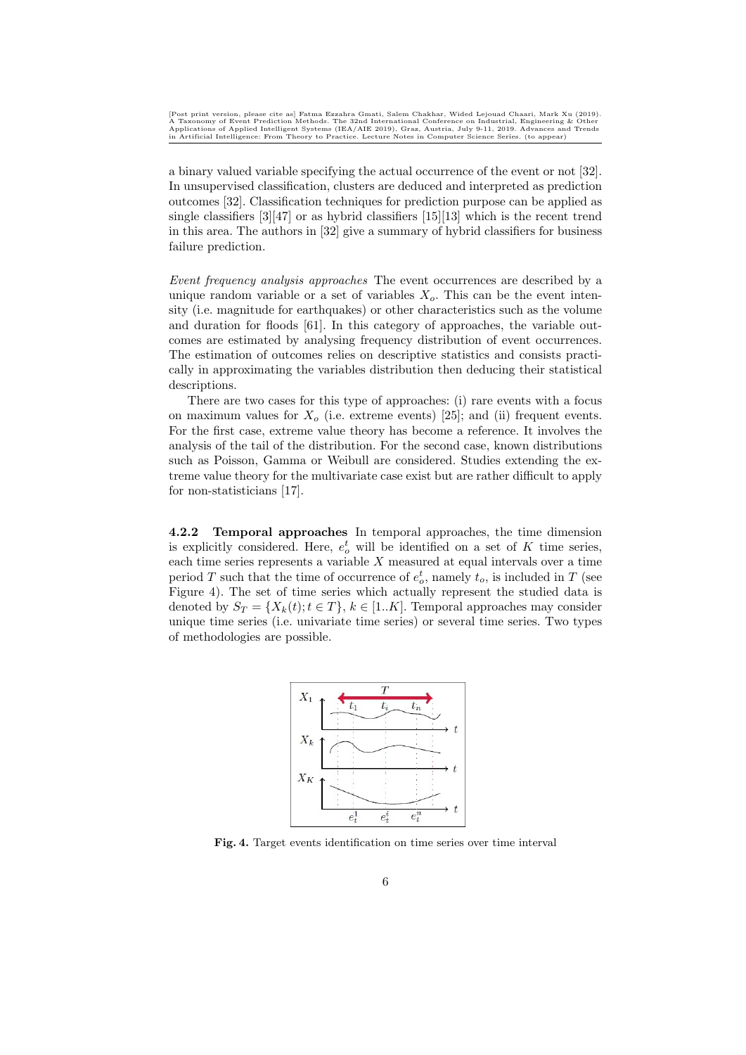a binary valued variable specifying the actual occurrence of the event or not [32]. In unsupervised classification, clusters are deduced and interpreted as prediction outcomes [32]. Classification techniques for prediction purpose can be applied as single classifiers [3][47] or as hybrid classifiers [15][13] which is the recent trend in this area. The authors in [32] give a summary of hybrid classifiers for business failure prediction.

*Event frequency analysis approaches* The event occurrences are described by a unique random variable or a set of variables  $X<sub>o</sub>$ . This can be the event intensity (i.e. magnitude for earthquakes) or other characteristics such as the volume and duration for floods [61]. In this category of approaches, the variable outcomes are estimated by analysing frequency distribution of event occurrences. The estimation of outcomes relies on descriptive statistics and consists practically in approximating the variables distribution then deducing their statistical descriptions.

There are two cases for this type of approaches: (i) rare events with a focus on maximum values for  $X<sub>o</sub>$  (i.e. extreme events) [25]; and (ii) frequent events. For the first case, extreme value theory has become a reference. It involves the analysis of the tail of the distribution. For the second case, known distributions such as Poisson, Gamma or Weibull are considered. Studies extending the extreme value theory for the multivariate case exist but are rather difficult to apply for non-statisticians [17].

**4.2.2 Temporal approaches** In temporal approaches, the time dimension is explicitly considered. Here,  $e_o^t$  will be identified on a set of  $K$  time series, each time series represents a variable *X* measured at equal intervals over a time period *T* such that the time of occurrence of  $e_o^t$ , namely  $t_o$ , is included in *T* (see Figure 4). The set of time series which actually represent the studied data is denoted by  $S_T = \{X_k(t); t \in T\}$ ,  $k \in [1..K]$ . Temporal approaches may consider unique time series (i.e. univariate time series) or several time series. Two types of methodologies are possible.



**Fig. 4.** Target events identification on time series over time interval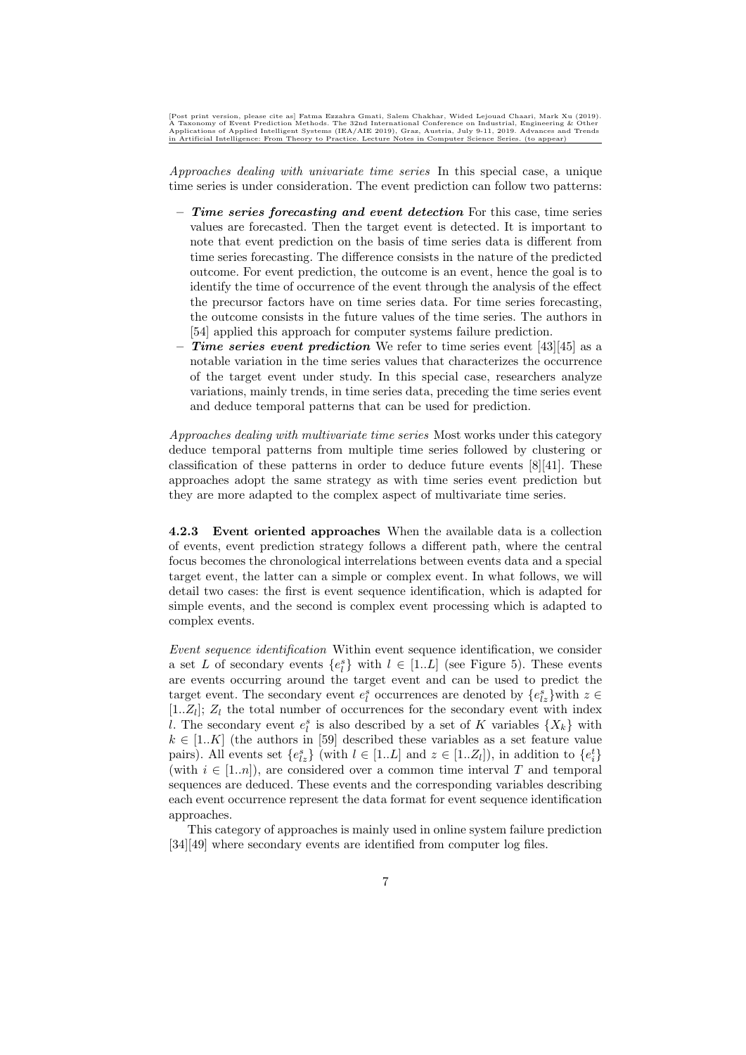[Post print version, please cite as] Fatma Ezzahra Gmati, Salem Chakhar, Wided Lejouad Chaari, Mark Xu (2019).<br>A Taxonomy of Event Prediction Methods. The 32nd International Conference on Industrial, Engineering & Other<br>Ap in Artificial Intelligence: From Theory to Practice. Lecture Notes in Computer Science Series. (to appear)

*Approaches dealing with univariate time series* In this special case, a unique time series is under consideration. The event prediction can follow two patterns:

- **–** *Time series forecasting and event detection* For this case, time series values are forecasted. Then the target event is detected. It is important to note that event prediction on the basis of time series data is different from time series forecasting. The difference consists in the nature of the predicted outcome. For event prediction, the outcome is an event, hence the goal is to identify the time of occurrence of the event through the analysis of the effect the precursor factors have on time series data. For time series forecasting, the outcome consists in the future values of the time series. The authors in [54] applied this approach for computer systems failure prediction.
- **–** *Time series event prediction* We refer to time series event [43][45] as a notable variation in the time series values that characterizes the occurrence of the target event under study. In this special case, researchers analyze variations, mainly trends, in time series data, preceding the time series event and deduce temporal patterns that can be used for prediction.

*Approaches dealing with multivariate time series* Most works under this category deduce temporal patterns from multiple time series followed by clustering or classification of these patterns in order to deduce future events [8][41]. These approaches adopt the same strategy as with time series event prediction but they are more adapted to the complex aspect of multivariate time series.

**4.2.3 Event oriented approaches** When the available data is a collection of events, event prediction strategy follows a different path, where the central focus becomes the chronological interrelations between events data and a special target event, the latter can a simple or complex event. In what follows, we will detail two cases: the first is event sequence identification, which is adapted for simple events, and the second is complex event processing which is adapted to complex events.

*Event sequence identification* Within event sequence identification, we consider a set *L* of secondary events  $\{e_l^s\}$  with  $l \in [1..L]$  (see Figure 5). These events are events occurring around the target event and can be used to predict the target event. The secondary event  $e_l^s$  occurrences are denoted by  $\{e_{lz}^s\}$  with  $z \in$  $[1..Z_l]$ ;  $Z_l$  the total number of occurrences for the secondary event with index *l*. The secondary event  $e_l^s$  is also described by a set of *K* variables  $\{X_k\}$  with  $k \in [1..K]$  (the authors in [59] described these variables as a set feature value pairs). All events set  ${e_{iz}^s}$  (with  $l \in [1..L]$  and  $z \in [1..Z_l]$ ), in addition to  ${e_i^t}$ (with  $i \in [1..n]$ ), are considered over a common time interval T and temporal sequences are deduced. These events and the corresponding variables describing each event occurrence represent the data format for event sequence identification approaches.

This category of approaches is mainly used in online system failure prediction [34][49] where secondary events are identified from computer log files.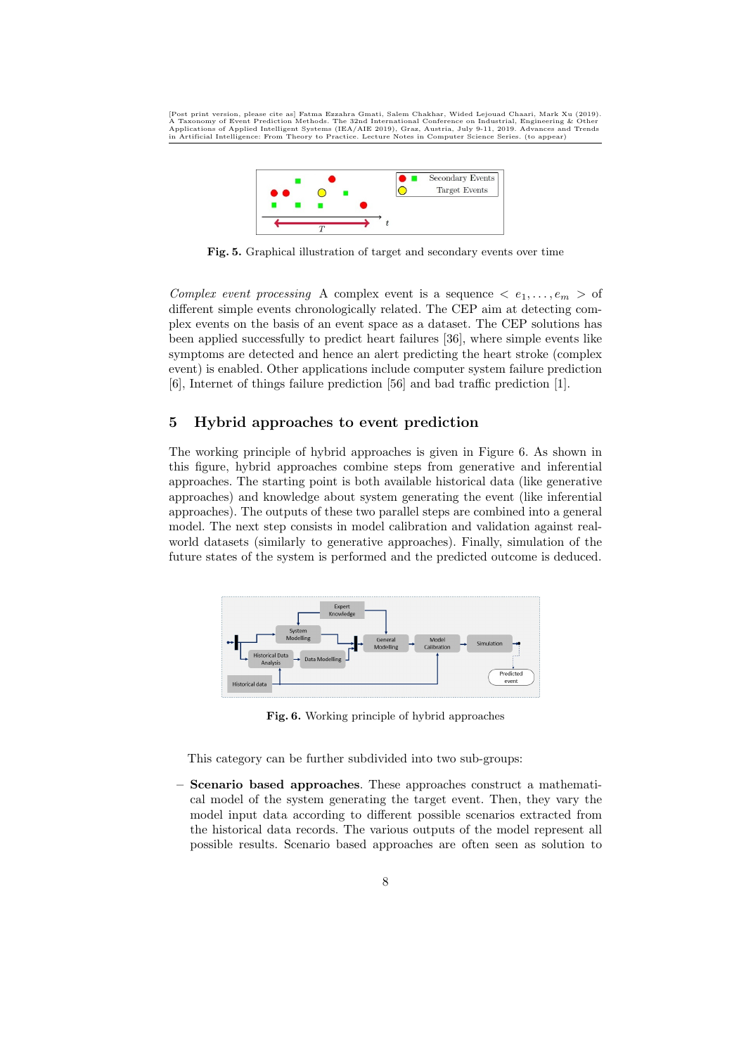



**Fig. 5.** Graphical illustration of target and secondary events over time

*Complex event processing* A complex event is a sequence  $\langle e_1, \ldots, e_m \rangle$  of different simple events chronologically related. The CEP aim at detecting complex events on the basis of an event space as a dataset. The CEP solutions has been applied successfully to predict heart failures [36], where simple events like symptoms are detected and hence an alert predicting the heart stroke (complex event) is enabled. Other applications include computer system failure prediction [6], Internet of things failure prediction [56] and bad traffic prediction [1].

# **5 Hybrid approaches to event prediction**

The working principle of hybrid approaches is given in Figure 6. As shown in this figure, hybrid approaches combine steps from generative and inferential approaches. The starting point is both available historical data (like generative approaches) and knowledge about system generating the event (like inferential approaches). The outputs of these two parallel steps are combined into a general model. The next step consists in model calibration and validation against realworld datasets (similarly to generative approaches). Finally, simulation of the future states of the system is performed and the predicted outcome is deduced.



**Fig. 6.** Working principle of hybrid approaches

This category can be further subdivided into two sub-groups:

**– Scenario based approaches**. These approaches construct a mathematical model of the system generating the target event. Then, they vary the model input data according to different possible scenarios extracted from the historical data records. The various outputs of the model represent all possible results. Scenario based approaches are often seen as solution to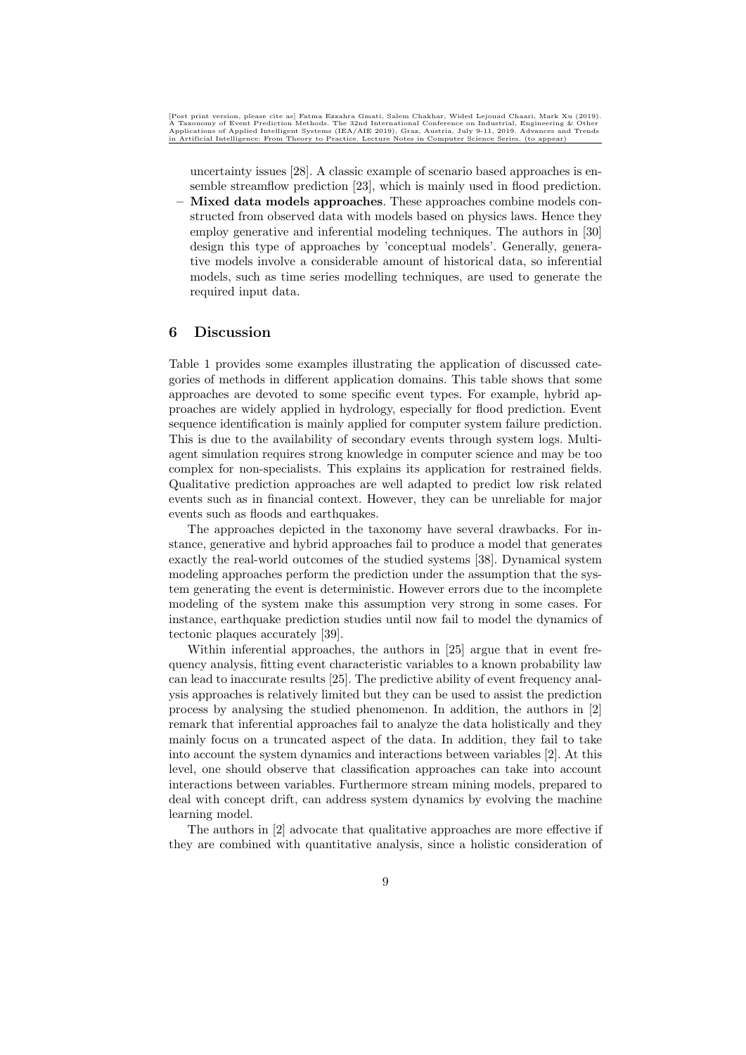[Post print version, please cite as] Fatma Ezzahra Gmati, Salem Chakhar, Wided Lejouad Chaari, Mark Xu (2019).<br>A Taxonomy of Event Prediction Methods. The 32nd International Conference on Industrial, Engineering & Other<br>Ap in Artificial Intelligence: From Theory to Practice. Lecture Notes in Computer Science Series. (to appear)

uncertainty issues [28]. A classic example of scenario based approaches is ensemble streamflow prediction [23], which is mainly used in flood prediction.

**– Mixed data models approaches**. These approaches combine models constructed from observed data with models based on physics laws. Hence they employ generative and inferential modeling techniques. The authors in [30] design this type of approaches by 'conceptual models'. Generally, generative models involve a considerable amount of historical data, so inferential models, such as time series modelling techniques, are used to generate the required input data.

## **6 Discussion**

Table 1 provides some examples illustrating the application of discussed categories of methods in different application domains. This table shows that some approaches are devoted to some specific event types. For example, hybrid approaches are widely applied in hydrology, especially for flood prediction. Event sequence identification is mainly applied for computer system failure prediction. This is due to the availability of secondary events through system logs. Multiagent simulation requires strong knowledge in computer science and may be too complex for non-specialists. This explains its application for restrained fields. Qualitative prediction approaches are well adapted to predict low risk related events such as in financial context. However, they can be unreliable for major events such as floods and earthquakes.

The approaches depicted in the taxonomy have several drawbacks. For instance, generative and hybrid approaches fail to produce a model that generates exactly the real-world outcomes of the studied systems [38]. Dynamical system modeling approaches perform the prediction under the assumption that the system generating the event is deterministic. However errors due to the incomplete modeling of the system make this assumption very strong in some cases. For instance, earthquake prediction studies until now fail to model the dynamics of tectonic plaques accurately [39].

Within inferential approaches, the authors in [25] argue that in event frequency analysis, fitting event characteristic variables to a known probability law can lead to inaccurate results [25]. The predictive ability of event frequency analysis approaches is relatively limited but they can be used to assist the prediction process by analysing the studied phenomenon. In addition, the authors in [2] remark that inferential approaches fail to analyze the data holistically and they mainly focus on a truncated aspect of the data. In addition, they fail to take into account the system dynamics and interactions between variables [2]. At this level, one should observe that classification approaches can take into account interactions between variables. Furthermore stream mining models, prepared to deal with concept drift, can address system dynamics by evolving the machine learning model.

The authors in [2] advocate that qualitative approaches are more effective if they are combined with quantitative analysis, since a holistic consideration of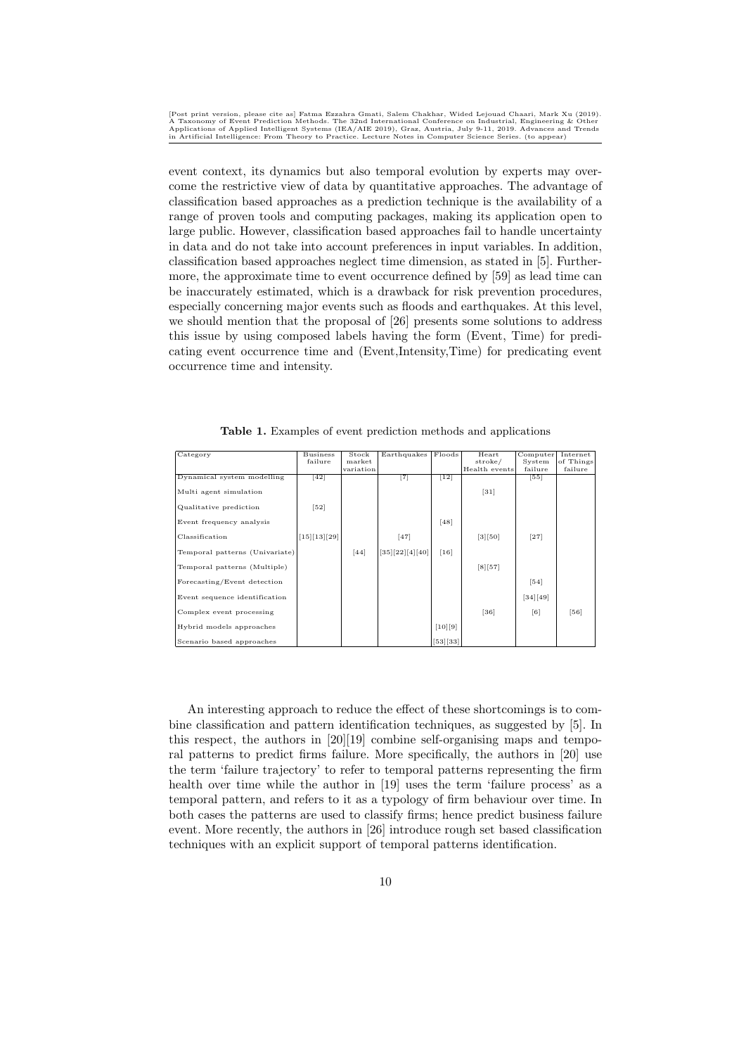event context, its dynamics but also temporal evolution by experts may overcome the restrictive view of data by quantitative approaches. The advantage of classification based approaches as a prediction technique is the availability of a range of proven tools and computing packages, making its application open to large public. However, classification based approaches fail to handle uncertainty in data and do not take into account preferences in input variables. In addition, classification based approaches neglect time dimension, as stated in [5]. Furthermore, the approximate time to event occurrence defined by [59] as lead time can be inaccurately estimated, which is a drawback for risk prevention procedures, especially concerning major events such as floods and earthquakes. At this level, we should mention that the proposal of [26] presents some solutions to address this issue by using composed labels having the form (Event, Time) for predicating event occurrence time and (Event,Intensity,Time) for predicating event occurrence time and intensity.

| Category                       | <b>Business</b> | Stock     | Earthquakes       | Floods    | Heart         | Computer | Internet  |
|--------------------------------|-----------------|-----------|-------------------|-----------|---------------|----------|-----------|
|                                | failure         | market    |                   |           | stroke/       | System   | of Things |
|                                |                 | variation |                   |           | Health events | failure  | failure   |
| Dynamical system modelling     | [42]            |           | $^{[7]}$          | $[12]$    |               | $[55]$   |           |
| Multi agent simulation         |                 |           |                   |           | $[31]$        |          |           |
| Qualitative prediction         | $[52]$          |           |                   |           |               |          |           |
| Event frequency analysis       |                 |           |                   | $[48]$    |               |          |           |
| Classification                 | [15][13][29]    |           | $[47]$            |           | $[3][50]$     | $[27]$   |           |
| Temporal patterns (Univariate) |                 | [44]      | $[35][22][4][40]$ | $[16]$    |               |          |           |
| Temporal patterns (Multiple)   |                 |           |                   |           | [8][57]       |          |           |
| Forecasting/Event detection    |                 |           |                   |           |               | $[54]$   |           |
| Event sequence identification  |                 |           |                   |           |               | [34][49] |           |
| Complex event processing       |                 |           |                   |           | $[36]$        | [6]      | $[56]$    |
| Hybrid models approaches       |                 |           |                   | $[10][9]$ |               |          |           |
| Scenario based approaches      |                 |           |                   | [53][33]  |               |          |           |

**Table 1.** Examples of event prediction methods and applications

An interesting approach to reduce the effect of these shortcomings is to combine classification and pattern identification techniques, as suggested by [5]. In this respect, the authors in [20][19] combine self-organising maps and temporal patterns to predict firms failure. More specifically, the authors in [20] use the term 'failure trajectory' to refer to temporal patterns representing the firm health over time while the author in [19] uses the term 'failure process' as a temporal pattern, and refers to it as a typology of firm behaviour over time. In both cases the patterns are used to classify firms; hence predict business failure event. More recently, the authors in [26] introduce rough set based classification techniques with an explicit support of temporal patterns identification.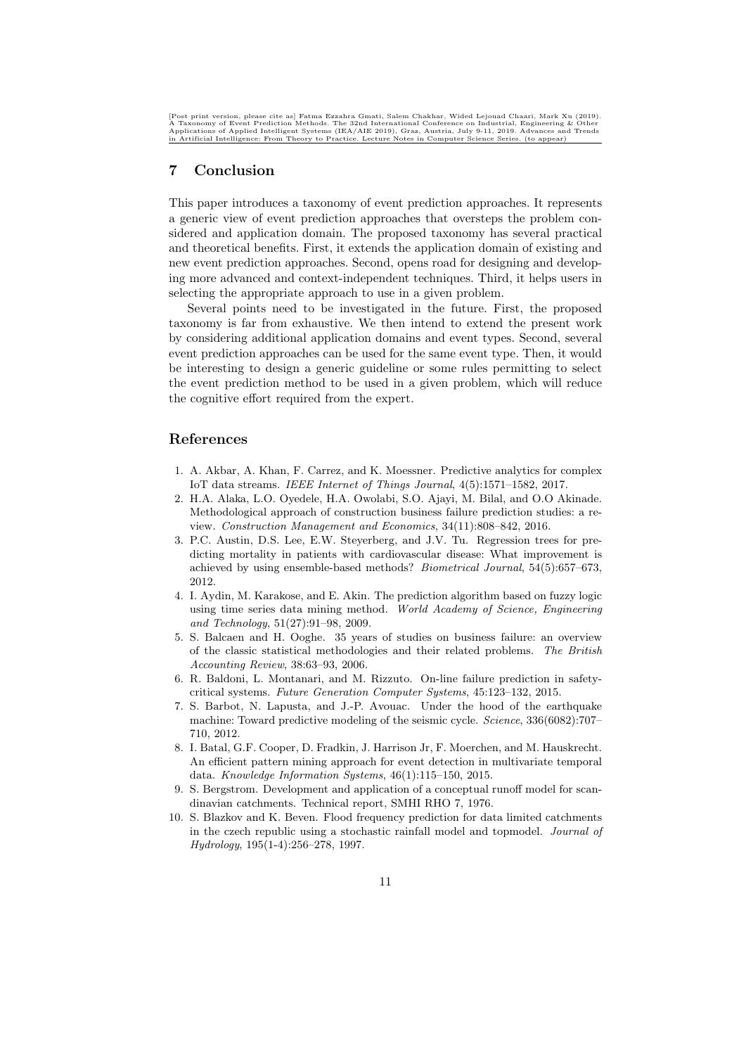[Post print version, please cite as] Fatma Ezzahra Gmati, Salem Chakhar, Wided Lejouad Chaari, Mark Xu (2019).<br>A Taxonomy of Event Prediction Methods. The 32nd International Conference on Industrial, Engineering & Other<br>Ap in Artificial Intelligence: From Theory to Practice. Lecture Notes in Computer Science Series. (to appear)

## **7 Conclusion**

This paper introduces a taxonomy of event prediction approaches. It represents a generic view of event prediction approaches that oversteps the problem considered and application domain. The proposed taxonomy has several practical and theoretical benefits. First, it extends the application domain of existing and new event prediction approaches. Second, opens road for designing and developing more advanced and context-independent techniques. Third, it helps users in selecting the appropriate approach to use in a given problem.

Several points need to be investigated in the future. First, the proposed taxonomy is far from exhaustive. We then intend to extend the present work by considering additional application domains and event types. Second, several event prediction approaches can be used for the same event type. Then, it would be interesting to design a generic guideline or some rules permitting to select the event prediction method to be used in a given problem, which will reduce the cognitive effort required from the expert.

# **References**

- 1. A. Akbar, A. Khan, F. Carrez, and K. Moessner. Predictive analytics for complex IoT data streams. *IEEE Internet of Things Journal*, 4(5):1571–1582, 2017.
- 2. H.A. Alaka, L.O. Oyedele, H.A. Owolabi, S.O. Ajayi, M. Bilal, and O.O Akinade. Methodological approach of construction business failure prediction studies: a review. *Construction Management and Economics*, 34(11):808–842, 2016.
- 3. P.C. Austin, D.S. Lee, E.W. Steyerberg, and J.V. Tu. Regression trees for predicting mortality in patients with cardiovascular disease: What improvement is achieved by using ensemble-based methods? *Biometrical Journal*, 54(5):657–673, 2012.
- 4. I. Aydin, M. Karakose, and E. Akin. The prediction algorithm based on fuzzy logic using time series data mining method. *World Academy of Science, Engineering and Technology*, 51(27):91–98, 2009.
- 5. S. Balcaen and H. Ooghe. 35 years of studies on business failure: an overview of the classic statistical methodologies and their related problems. *The British Accounting Review*, 38:63–93, 2006.
- 6. R. Baldoni, L. Montanari, and M. Rizzuto. On-line failure prediction in safetycritical systems. *Future Generation Computer Systems*, 45:123–132, 2015.
- 7. S. Barbot, N. Lapusta, and J.-P. Avouac. Under the hood of the earthquake machine: Toward predictive modeling of the seismic cycle. *Science*, 336(6082):707– 710, 2012.
- 8. I. Batal, G.F. Cooper, D. Fradkin, J. Harrison Jr, F. Moerchen, and M. Hauskrecht. An efficient pattern mining approach for event detection in multivariate temporal data. *Knowledge Information Systems*, 46(1):115–150, 2015.
- 9. S. Bergstrom. Development and application of a conceptual runoff model for scandinavian catchments. Technical report, SMHI RHO 7, 1976.
- 10. S. Blazkov and K. Beven. Flood frequency prediction for data limited catchments in the czech republic using a stochastic rainfall model and topmodel. *Journal of Hydrology*, 195(1-4):256–278, 1997.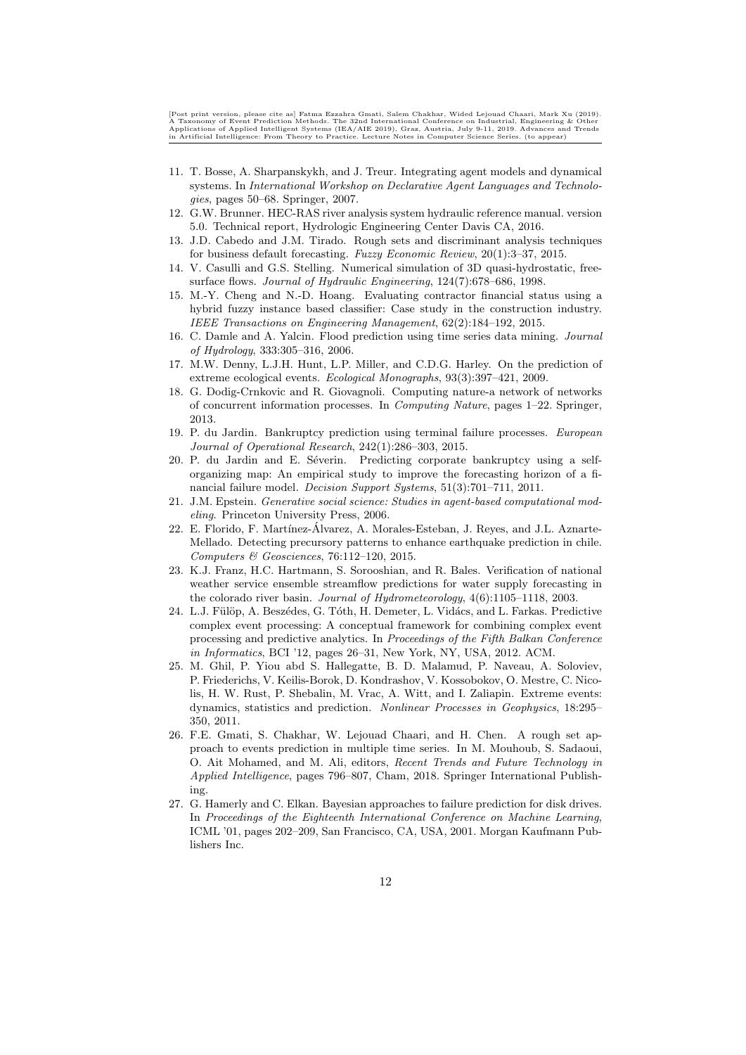- 11. T. Bosse, A. Sharpanskykh, and J. Treur. Integrating agent models and dynamical systems. In *International Workshop on Declarative Agent Languages and Technologies*, pages 50–68. Springer, 2007.
- 12. G.W. Brunner. HEC-RAS river analysis system hydraulic reference manual. version 5.0. Technical report, Hydrologic Engineering Center Davis CA, 2016.
- 13. J.D. Cabedo and J.M. Tirado. Rough sets and discriminant analysis techniques for business default forecasting. *Fuzzy Economic Review*, 20(1):3–37, 2015.
- 14. V. Casulli and G.S. Stelling. Numerical simulation of 3D quasi-hydrostatic, freesurface flows. *Journal of Hydraulic Engineering*, 124(7):678–686, 1998.
- 15. M.-Y. Cheng and N.-D. Hoang. Evaluating contractor financial status using a hybrid fuzzy instance based classifier: Case study in the construction industry. *IEEE Transactions on Engineering Management*, 62(2):184–192, 2015.
- 16. C. Damle and A. Yalcin. Flood prediction using time series data mining. *Journal of Hydrology*, 333:305–316, 2006.
- 17. M.W. Denny, L.J.H. Hunt, L.P. Miller, and C.D.G. Harley. On the prediction of extreme ecological events. *Ecological Monographs*, 93(3):397–421, 2009.
- 18. G. Dodig-Crnkovic and R. Giovagnoli. Computing nature-a network of networks of concurrent information processes. In *Computing Nature*, pages 1–22. Springer, 2013.
- 19. P. du Jardin. Bankruptcy prediction using terminal failure processes. *European Journal of Operational Research*, 242(1):286–303, 2015.
- 20. P. du Jardin and E. Séverin. Predicting corporate bankruptcy using a selforganizing map: An empirical study to improve the forecasting horizon of a financial failure model. *Decision Support Systems*, 51(3):701–711, 2011.
- 21. J.M. Epstein. *Generative social science: Studies in agent-based computational modeling*. Princeton University Press, 2006.
- 22. E. Florido, F. Martínez-Álvarez, A. Morales-Esteban, J. Reyes, and J.L. Aznarte-Mellado. Detecting precursory patterns to enhance earthquake prediction in chile. *Computers & Geosciences*, 76:112–120, 2015.
- 23. K.J. Franz, H.C. Hartmann, S. Sorooshian, and R. Bales. Verification of national weather service ensemble streamflow predictions for water supply forecasting in the colorado river basin. *Journal of Hydrometeorology*, 4(6):1105–1118, 2003.
- 24. L.J. Fülöp, A. Beszédes, G. Tóth, H. Demeter, L. Vidács, and L. Farkas. Predictive complex event processing: A conceptual framework for combining complex event processing and predictive analytics. In *Proceedings of the Fifth Balkan Conference in Informatics*, BCI '12, pages 26–31, New York, NY, USA, 2012. ACM.
- 25. M. Ghil, P. Yiou abd S. Hallegatte, B. D. Malamud, P. Naveau, A. Soloviev, P. Friederichs, V. Keilis-Borok, D. Kondrashov, V. Kossobokov, O. Mestre, C. Nicolis, H. W. Rust, P. Shebalin, M. Vrac, A. Witt, and I. Zaliapin. Extreme events: dynamics, statistics and prediction. *Nonlinear Processes in Geophysics*, 18:295– 350, 2011.
- 26. F.E. Gmati, S. Chakhar, W. Lejouad Chaari, and H. Chen. A rough set approach to events prediction in multiple time series. In M. Mouhoub, S. Sadaoui, O. Ait Mohamed, and M. Ali, editors, *Recent Trends and Future Technology in Applied Intelligence*, pages 796–807, Cham, 2018. Springer International Publishing.
- 27. G. Hamerly and C. Elkan. Bayesian approaches to failure prediction for disk drives. In *Proceedings of the Eighteenth International Conference on Machine Learning*, ICML '01, pages 202–209, San Francisco, CA, USA, 2001. Morgan Kaufmann Publishers Inc.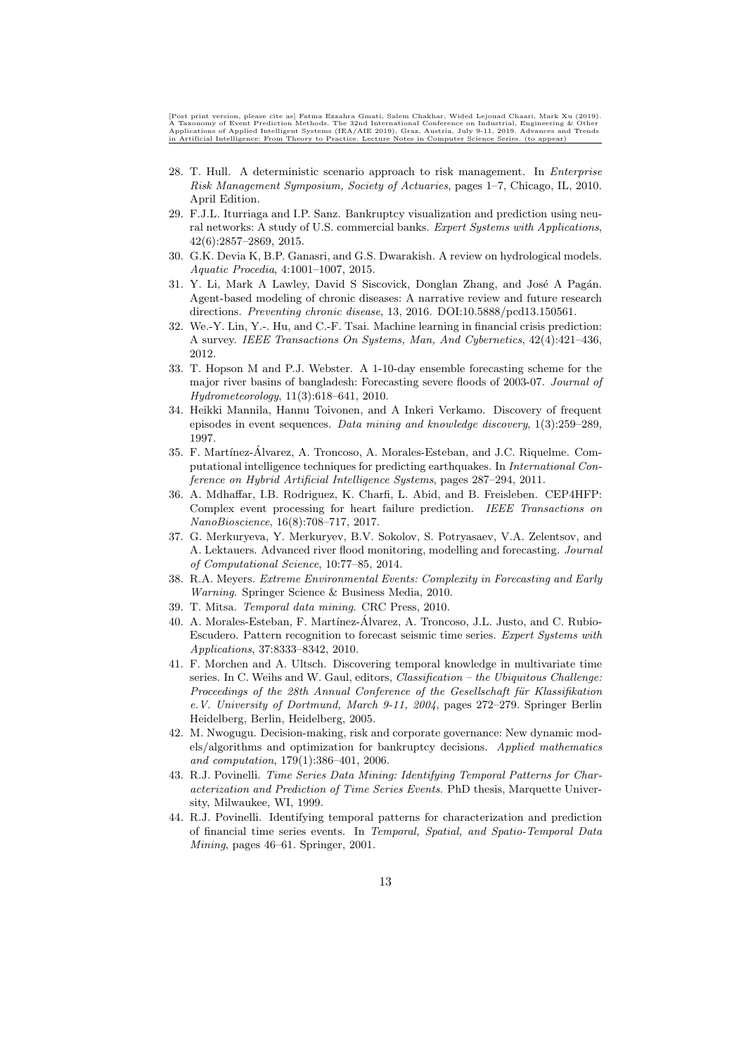- 28. T. Hull. A deterministic scenario approach to risk management. In *Enterprise Risk Management Symposium, Society of Actuaries*, pages 1–7, Chicago, IL, 2010. April Edition.
- 29. F.J.L. Iturriaga and I.P. Sanz. Bankruptcy visualization and prediction using neural networks: A study of U.S. commercial banks. *Expert Systems with Applications*, 42(6):2857–2869, 2015.
- 30. G.K. Devia K, B.P. Ganasri, and G.S. Dwarakish. A review on hydrological models. *Aquatic Procedia*, 4:1001–1007, 2015.
- 31. Y. Li, Mark A Lawley, David S Siscovick, Donglan Zhang, and José A Pagán. Agent-based modeling of chronic diseases: A narrative review and future research directions. *Preventing chronic disease*, 13, 2016. DOI:10.5888/pcd13.150561.
- 32. We.-Y. Lin, Y.-. Hu, and C.-F. Tsai. Machine learning in financial crisis prediction: A survey. *IEEE Transactions On Systems, Man, And Cybernetics*, 42(4):421–436, 2012.
- 33. T. Hopson M and P.J. Webster. A 1-10-day ensemble forecasting scheme for the major river basins of bangladesh: Forecasting severe floods of 2003-07. *Journal of Hydrometeorology*, 11(3):618–641, 2010.
- 34. Heikki Mannila, Hannu Toivonen, and A Inkeri Verkamo. Discovery of frequent episodes in event sequences. *Data mining and knowledge discovery*, 1(3):259–289, 1997.
- 35. F. Martínez-Álvarez, A. Troncoso, A. Morales-Esteban, and J.C. Riquelme. Computational intelligence techniques for predicting earthquakes. In *International Conference on Hybrid Artificial Intelligence Systems*, pages 287–294, 2011.
- 36. A. Mdhaffar, I.B. Rodriguez, K. Charfi, L. Abid, and B. Freisleben. CEP4HFP: Complex event processing for heart failure prediction. *IEEE Transactions on NanoBioscience*, 16(8):708–717, 2017.
- 37. G. Merkuryeva, Y. Merkuryev, B.V. Sokolov, S. Potryasaev, V.A. Zelentsov, and A. Lektauers. Advanced river flood monitoring, modelling and forecasting. *Journal of Computational Science*, 10:77–85, 2014.
- 38. R.A. Meyers. *Extreme Environmental Events: Complexity in Forecasting and Early Warning*. Springer Science & Business Media, 2010.
- 39. T. Mitsa. *Temporal data mining*. CRC Press, 2010.
- 40. A. Morales-Esteban, F. Martínez-Álvarez, A. Troncoso, J.L. Justo, and C. Rubio-Escudero. Pattern recognition to forecast seismic time series. *Expert Systems with Applications*, 37:8333–8342, 2010.
- 41. F. Morchen and A. Ultsch. Discovering temporal knowledge in multivariate time series. In C. Weihs and W. Gaul, editors, *Classification – the Ubiquitous Challenge: Proceedings of the 28th Annual Conference of the Gesellschaft f¨ur Klassifikation e.V. University of Dortmund, March 9-11, 2004*, pages 272–279. Springer Berlin Heidelberg, Berlin, Heidelberg, 2005.
- 42. M. Nwogugu. Decision-making, risk and corporate governance: New dynamic models/algorithms and optimization for bankruptcy decisions. *Applied mathematics and computation*, 179(1):386–401, 2006.
- 43. R.J. Povinelli. *Time Series Data Mining: Identifying Temporal Patterns for Characterization and Prediction of Time Series Events*. PhD thesis, Marquette University, Milwaukee, WI, 1999.
- 44. R.J. Povinelli. Identifying temporal patterns for characterization and prediction of financial time series events. In *Temporal, Spatial, and Spatio-Temporal Data Mining*, pages 46–61. Springer, 2001.